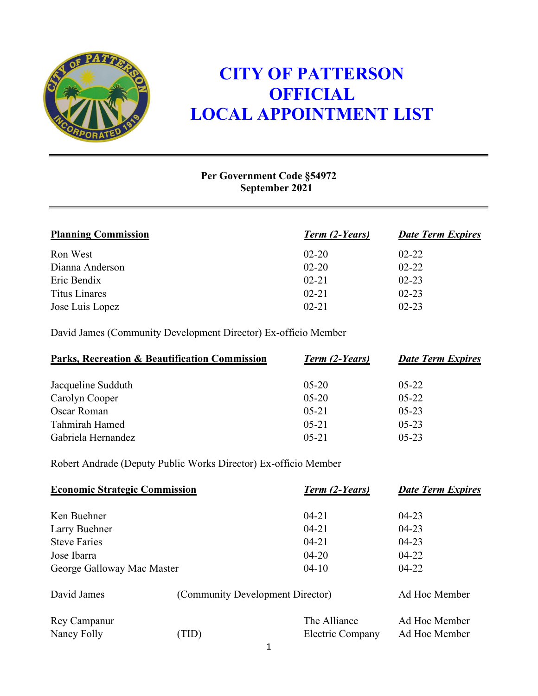

## **CITY OF PATTERSON OFFICIAL LOCAL APPOINTMENT LIST**

## **Per Government Code §54972 September 2021**

| <b>Planning Commission</b> | Term (2-Years) | <b>Date Term Expires</b> |
|----------------------------|----------------|--------------------------|
| Ron West                   | $02 - 20$      | $02 - 22$                |
| Dianna Anderson            | $02 - 20$      | $02 - 22$                |
| Eric Bendix                | $02 - 21$      | $02 - 23$                |
| <b>Titus Linares</b>       | $02 - 21$      | $02 - 23$                |
| Jose Luis Lopez            | $02 - 21$      | $02 - 23$                |

David James (Community Development Director) Ex-officio Member

| Parks, Recreation & Beautification Commission | Term (2-Years) | <b>Date Term Expires</b> |
|-----------------------------------------------|----------------|--------------------------|
| Jacqueline Sudduth                            | $05-20$        | $05 - 22$                |
| Carolyn Cooper                                | $05 - 20$      | $05 - 22$                |
| Oscar Roman                                   | $05 - 21$      | $05 - 23$                |
| Tahmirah Hamed                                | $05 - 21$      | $05 - 23$                |
| Gabriela Hernandez                            | $05 - 21$      | $05 - 23$                |

Robert Andrade (Deputy Public Works Director) Ex-officio Member

| <b>Economic Strategic Commission</b> |      | Term (2-Years)                   | <b>Date Term Expires</b> |
|--------------------------------------|------|----------------------------------|--------------------------|
| Ken Buehner                          |      | $04 - 21$                        | $04 - 23$                |
| Larry Buehner                        |      | $04 - 21$                        | $04 - 23$                |
| <b>Steve Faries</b>                  |      | $04 - 21$                        | $04 - 23$                |
| Jose Ibarra                          |      | $04 - 20$                        | $04 - 22$                |
| George Galloway Mac Master           |      | $04 - 10$                        | $04 - 22$                |
| David James                          |      | (Community Development Director) | Ad Hoc Member            |
| Rey Campanur                         |      | The Alliance                     | Ad Hoc Member            |
| Nancy Folly                          | TID) | Electric Company                 | Ad Hoc Member            |